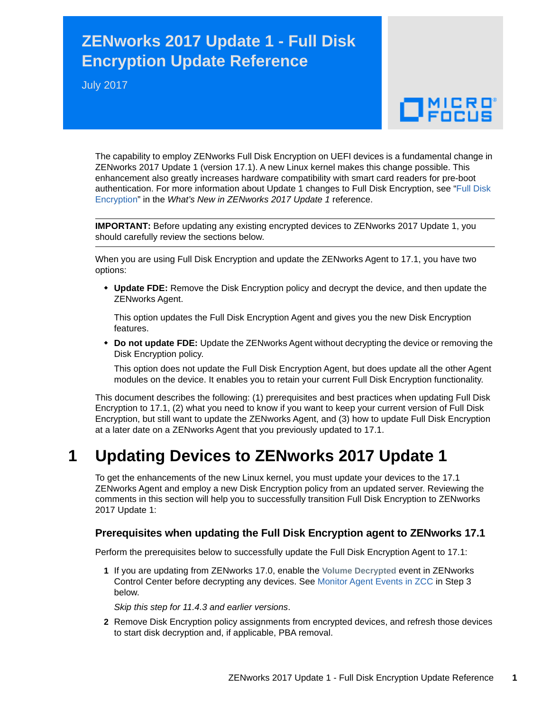## **ZENworks 2017 Update 1 - Full Disk Encryption Update Reference**

July 2017

# $\Box$ MICRO

The capability to employ ZENworks Full Disk Encryption on UEFI devices is a fundamental change in ZENworks 2017 Update 1 (version 17.1). A new Linux kernel makes this change possible. This enhancement also greatly increases hardware compatibility with smart card readers for pre-boot authentication. For more information about Update 1 changes to Full Disk Encryption, see ["Full Disk](https://www.novell.com/documentation/zenworks2017/pdfdoc/zen_whats_new/zen_whats_new.pdf#t434nw77zhsu)  Encryption" in the *What's New in ZENworks 2017 Update 1* reference.

**IMPORTANT:** Before updating any existing encrypted devices to ZENworks 2017 Update 1, you should carefully review the sections below.

When you are using Full Disk Encryption and update the ZENworks Agent to 17.1, you have two options:

 **Update FDE:** Remove the Disk Encryption policy and decrypt the device, and then update the ZENworks Agent.

This option updates the Full Disk Encryption Agent and gives you the new Disk Encryption features.

 **Do not update FDE:** Update the ZENworks Agent without decrypting the device or removing the Disk Encryption policy.

This option does not update the Full Disk Encryption Agent, but does update all the other Agent modules on the device. It enables you to retain your current Full Disk Encryption functionality.

This document describes the following: (1) prerequisites and best practices when updating Full Disk Encryption to 17.1, (2) what you need to know if you want to keep your current version of Full Disk Encryption, but still want to update the ZENworks Agent, and (3) how to update Full Disk Encryption at a later date on a ZENworks Agent that you previously updated to 17.1.

## **1 Updating Devices to ZENworks 2017 Update 1**

To get the enhancements of the new Linux kernel, you must update your devices to the 17.1 ZENworks Agent and employ a new Disk Encryption policy from an updated server. Reviewing the comments in this section will help you to successfully transition Full Disk Encryption to ZENworks 2017 Update 1:

#### **Prerequisites when updating the Full Disk Encryption agent to ZENworks 17.1**

Perform the prerequisites below to successfully update the Full Disk Encryption Agent to 17.1:

**1** If you are updating from ZENworks 17.0, enable the **Volume Decrypted** event in ZENworks Control Center before decrypting any devices. See Monitor Agent Events in ZCC in Step 3 below.

*Skip this step for 11.4.3 and earlier versions*.

**2** Remove Disk Encryption policy assignments from encrypted devices, and refresh those devices to start disk decryption and, if applicable, PBA removal.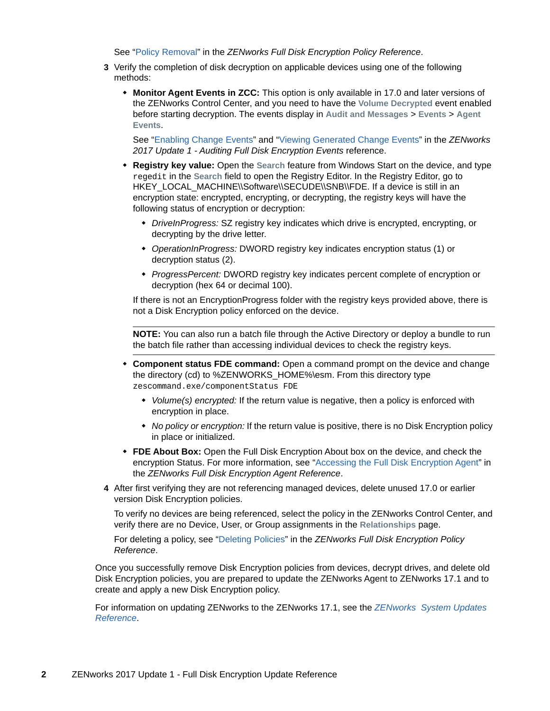See "[Policy Removal"](https://www.novell.com/documentation/zenworks2017/pdfdoc/zen_fde_policies/zen_fde_policies.pdf#bpoav25) in the *ZENworks Full Disk Encryption Policy Reference*.

- **3** Verify the completion of disk decryption on applicable devices using one of the following methods:
	- **Monitor Agent Events in ZCC:** This option is only available in 17.0 and later versions of the ZENworks Control Center, and you need to have the **Volume Decrypted** event enabled before starting decryption. The events display in **Audit and Messages** > **Events** > **Agent Events**.

See "[Enabling Change Events"](https://www.novell.com/documentation/zenworks2017/pdfdoc/zen_fde_audit/zen_fde_audit.pdf#b1962dh1) and "[Viewing Generated Change Events"](https://www.novell.com/documentation/zenworks2017/pdfdoc/zen_fde_audit/zen_fde_audit.pdf#b1962dh7) in the *ZENworks 2017 Update 1 - Auditing Full Disk Encryption Events* reference.

- **Registry key value:** Open the **Search** feature from Windows Start on the device, and type regedit in the **Search** field to open the Registry Editor. In the Registry Editor, go to HKEY\_LOCAL\_MACHINE\\Software\\SECUDE\\SNB\\FDE. If a device is still in an encryption state: encrypted, encrypting, or decrypting, the registry keys will have the following status of encryption or decryption:
	- *DriveInProgress:* SZ registry key indicates which drive is encrypted, encrypting, or decrypting by the drive letter.
	- *OperationInProgress:* DWORD registry key indicates encryption status (1) or decryption status (2).
	- *ProgressPercent:* DWORD registry key indicates percent complete of encryption or decryption (hex 64 or decimal 100).

If there is not an EncryptionProgress folder with the registry keys provided above, there is not a Disk Encryption policy enforced on the device.

**NOTE:** You can also run a batch file through the Active Directory or deploy a bundle to run the batch file rather than accessing individual devices to check the registry keys.

- **Component status FDE command:** Open a command prompt on the device and change the directory (cd) to %ZENWORKS\_HOME%\esm. From this directory type zescommand.exe/componentStatus FDE
	- *Volume(s) encrypted:* If the return value is negative, then a policy is enforced with encryption in place.
	- *No policy or encryption:* If the return value is positive, there is no Disk Encryption policy in place or initialized.
- **FDE About Box:** Open the Full Disk Encryption About box on the device, and check the encryption Status. For more information, see ["Accessing the Full Disk Encryption Agent"](https://www.novell.com/documentation/zenworks2017/pdfdoc/zen_fde_agent/zen_fde_agent.pdf#t424d8qrs1x3) in the *ZENworks Full Disk Encryption Agent Reference*.
- <span id="page-1-0"></span>**4** After first verifying they are not referencing managed devices, delete unused 17.0 or earlier version Disk Encryption policies.

To verify no devices are being referenced, select the policy in the ZENworks Control Center, and verify there are no Device, User, or Group assignments in the **Relationships** page.

For deleting a policy, see ["Deleting Policies](https://www.novell.com/documentation/zenworks2017/pdfdoc/zen_fde_policies/zen_fde_policies.pdf#bokpjf6)" in the *ZENworks Full Disk Encryption Policy Reference*.

Once you successfully remove Disk Encryption policies from devices, decrypt drives, and delete old Disk Encryption policies, you are prepared to update the ZENworks Agent to ZENworks 17.1 and to create and apply a new Disk Encryption policy.

For information on updating ZENworks to the ZENworks 17.1, see the *[ZENworks System Updates](https://www.novell.com/documentation/zenworks2017/pdfdoc/zen_sys_updates/zen_sys_updates.pdf#bookinfo)  Reference*.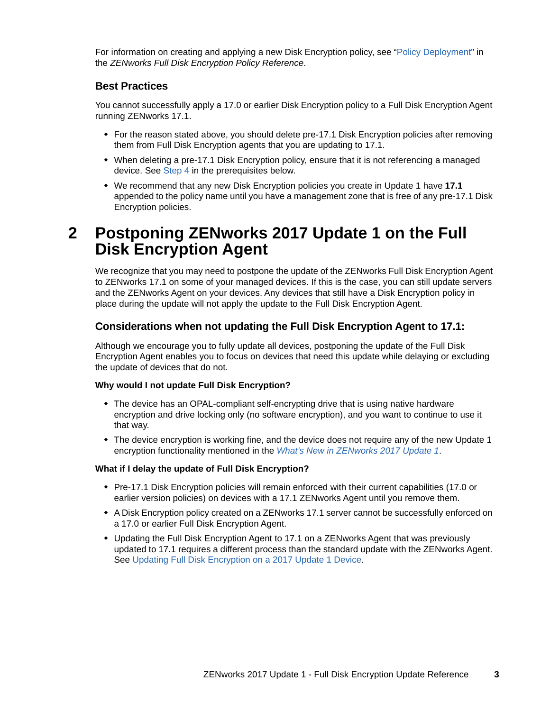For information on creating and applying a new Disk Encryption policy, see "[Policy Deployment"](https://www.novell.com/documentation/zenworks2017/pdfdoc/zen_fde_policies/zen_fde_policies.pdf#bnj4sa4) in the *ZENworks Full Disk Encryption Policy Reference*.

#### **Best Practices**

You cannot successfully apply a 17.0 or earlier Disk Encryption policy to a Full Disk Encryption Agent running ZENworks 17.1.

- For the reason stated above, you should delete pre-17.1 Disk Encryption policies after removing them from Full Disk Encryption agents that you are updating to 17.1.
- When deleting a pre-17.1 Disk Encryption policy, ensure that it is not referencing a managed device. See [Step 4](#page-1-0) in the prerequisites below.
- We recommend that any new Disk Encryption policies you create in Update 1 have **17.1**  appended to the policy name until you have a management zone that is free of any pre-17.1 Disk Encryption policies.

## **2 Postponing ZENworks 2017 Update 1 on the Full Disk Encryption Agent**

We recognize that you may need to postpone the update of the ZENworks Full Disk Encryption Agent to ZENworks 17.1 on some of your managed devices. If this is the case, you can still update servers and the ZENworks Agent on your devices. Any devices that still have a Disk Encryption policy in place during the update will not apply the update to the Full Disk Encryption Agent.

#### **Considerations when not updating the Full Disk Encryption Agent to 17.1:**

Although we encourage you to fully update all devices, postponing the update of the Full Disk Encryption Agent enables you to focus on devices that need this update while delaying or excluding the update of devices that do not.

#### **Why would I not update Full Disk Encryption?**

- The device has an OPAL-compliant self-encrypting drive that is using native hardware encryption and drive locking only (no software encryption), and you want to continue to use it that way.
- The device encryption is working fine, and the device does not require any of the new Update 1 encryption functionality mentioned in the *What's New in ZENworks 2017 Update 1*.

#### **What if I delay the update of Full Disk Encryption?**

- Pre-17.1 Disk Encryption policies will remain enforced with their current capabilities (17.0 or earlier version policies) on devices with a 17.1 ZENworks Agent until you remove them.
- A Disk Encryption policy created on a ZENworks 17.1 server cannot be successfully enforced on a 17.0 or earlier Full Disk Encryption Agent.
- Updating the Full Disk Encryption Agent to 17.1 on a ZENworks Agent that was previously updated to 17.1 requires a different process than the standard update with the ZENworks Agent. See [Updating Full Disk Encryption on a 2017 Update 1 Device.](#page-3-0)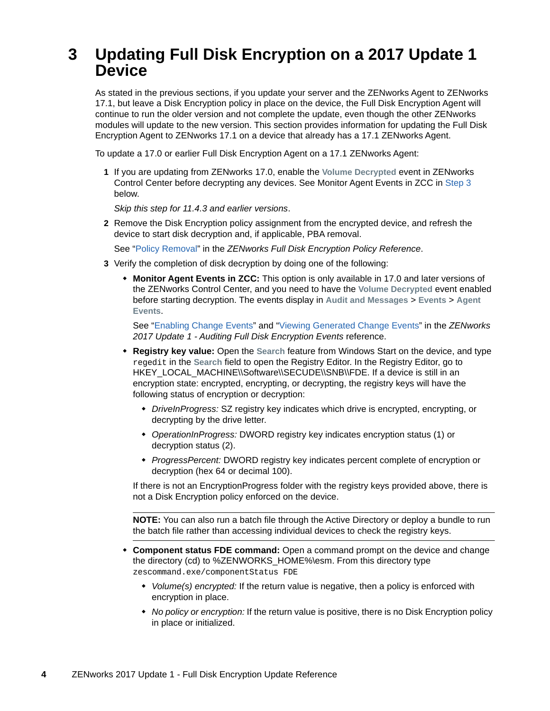## <span id="page-3-0"></span>**3 Updating Full Disk Encryption on a 2017 Update 1 Device**

As stated in the previous sections, if you update your server and the ZENworks Agent to ZENworks 17.1, but leave a Disk Encryption policy in place on the device, the Full Disk Encryption Agent will continue to run the older version and not complete the update, even though the other ZENworks modules will update to the new version. This section provides information for updating the Full Disk Encryption Agent to ZENworks 17.1 on a device that already has a 17.1 ZENworks Agent.

To update a 17.0 or earlier Full Disk Encryption Agent on a 17.1 ZENworks Agent:

**1** If you are updating from ZENworks 17.0, enable the **Volume Decrypted** event in ZENworks Control Center before decrypting any devices. See Monitor Agent Events in ZCC in [Step 3](#page-3-1) below.

*Skip this step for 11.4.3 and earlier versions*.

**2** Remove the Disk Encryption policy assignment from the encrypted device, and refresh the device to start disk decryption and, if applicable, PBA removal.

See "[Policy Removal"](https://www.novell.com/documentation/zenworks2017/pdfdoc/zen_fde_policies/zen_fde_policies.pdf#bpoav25) in the *ZENworks Full Disk Encryption Policy Reference*.

- <span id="page-3-1"></span>**3** Verify the completion of disk decryption by doing one of the following:
	- **Monitor Agent Events in ZCC:** This option is only available in 17.0 and later versions of the ZENworks Control Center, and you need to have the **Volume Decrypted** event enabled before starting decryption. The events display in **Audit and Messages** > **Events** > **Agent Events**.

[See "E](https://www.novell.com/documentation/zenworks2017/pdfdoc/zen_fde_audit/zen_fde_audit.pdf#b1962dh1)nabling Change Events[" and "V](https://www.novell.com/documentation/zenworks2017/pdfdoc/zen_fde_audit/zen_fde_audit.pdf#b1962dh7)iewing Generated Change Events" in the *ZENworks 2017 Update 1 - Auditing Full Disk Encryption Events* reference.

- **Registry key value:** Open the **Search** feature from Windows Start on the device, and type regedit in the **Search** field to open the Registry Editor. In the Registry Editor, go to HKEY\_LOCAL\_MACHINE\\Software\\SECUDE\\SNB\\FDE. If a device is still in an encryption state: encrypted, encrypting, or decrypting, the registry keys will have the following status of encryption or decryption:
	- *DriveInProgress:* SZ registry key indicates which drive is encrypted, encrypting, or decrypting by the drive letter.
	- *OperationInProgress:* DWORD registry key indicates encryption status (1) or decryption status (2).
	- *ProgressPercent:* DWORD registry key indicates percent complete of encryption or decryption (hex 64 or decimal 100).

If there is not an EncryptionProgress folder with the registry keys provided above, there is not a Disk Encryption policy enforced on the device.

**NOTE:** You can also run a batch file through the Active Directory or deploy a bundle to run the batch file rather than accessing individual devices to check the registry keys.

- **Component status FDE command:** Open a command prompt on the device and change the directory (cd) to %ZENWORKS\_HOME%\esm. From this directory type zescommand.exe/componentStatus FDE
	- *Volume(s) encrypted:* If the return value is negative, then a policy is enforced with encryption in place.
	- *No policy or encryption:* If the return value is positive, there is no Disk Encryption policy in place or initialized.